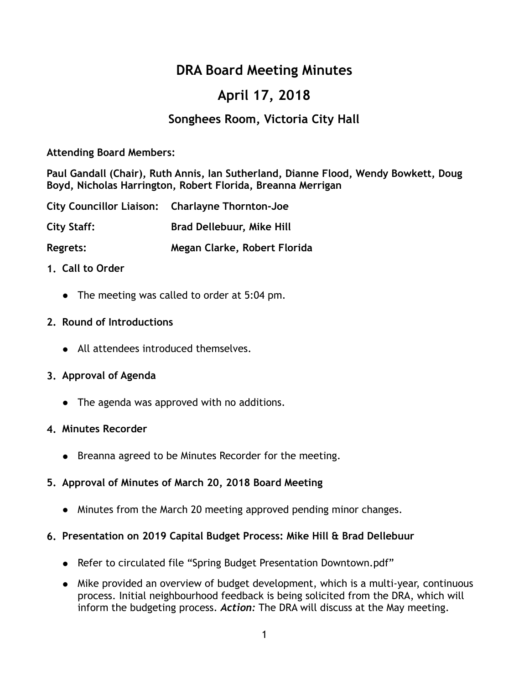# **DRA Board Meeting Minutes**

# **April 17, 2018**

# **Songhees Room, Victoria City Hall**

## **Attending Board Members:**

**Paul Gandall (Chair), Ruth Annis, Ian Sutherland, Dianne Flood, Wendy Bowkett, Doug Boyd, Nicholas Harrington, Robert Florida, Breanna Merrigan** 

|             | City Councillor Liaison: Charlayne Thornton-Joe |
|-------------|-------------------------------------------------|
| City Staff: | <b>Brad Dellebuur, Mike Hill</b>                |
| Regrets:    | Megan Clarke, Robert Florida                    |

## **1. Call to Order**

● The meeting was called to order at 5:04 pm.

## **2. Round of Introductions**

● All attendees introduced themselves.

## **3. Approval of Agenda**

• The agenda was approved with no additions.

## **4. Minutes Recorder**

● Breanna agreed to be Minutes Recorder for the meeting.

# **5. Approval of Minutes of March 20, 2018 Board Meeting**

• Minutes from the March 20 meeting approved pending minor changes.

## **6. Presentation on 2019 Capital Budget Process: Mike Hill & Brad Dellebuur**

- Refer to circulated file "Spring Budget Presentation Downtown.pdf"
- Mike provided an overview of budget development, which is a multi-year, continuous process. Initial neighbourhood feedback is being solicited from the DRA, which will inform the budgeting process. *Action:* The DRA will discuss at the May meeting.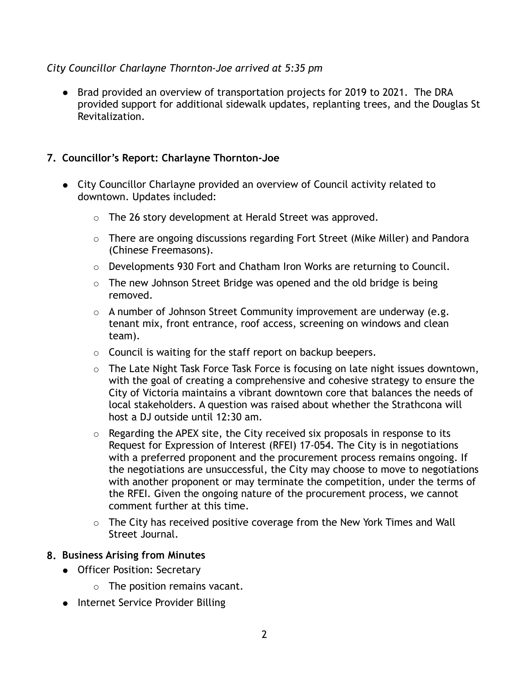## *City Councillor Charlayne Thornton-Joe arrived at 5:35 pm*

● Brad provided an overview of transportation projects for 2019 to 2021. The DRA provided support for additional sidewalk updates, replanting trees, and the Douglas St Revitalization.

## **7. Councillor's Report: Charlayne Thornton-Joe**

- City Councillor Charlayne provided an overview of Council activity related to downtown. Updates included:
	- The 26 story development at Herald Street was approved.
	- There are ongoing discussions regarding Fort Street (Mike Miller) and Pandora (Chinese Freemasons).
	- Developments 930 Fort and Chatham Iron Works are returning to Council.
	- $\circ$  The new Johnson Street Bridge was opened and the old bridge is being removed.
	- $\circ$  A number of Johnson Street Community improvement are underway (e.g. tenant mix, front entrance, roof access, screening on windows and clean team).
	- Council is waiting for the staff report on backup beepers.
	- $\circ$  The Late Night Task Force Task Force is focusing on late night issues downtown, with the goal of creating a comprehensive and cohesive strategy to ensure the City of Victoria maintains a vibrant downtown core that balances the needs of local stakeholders. A question was raised about whether the Strathcona will host a DJ outside until 12:30 am.
	- $\circ$  Regarding the APEX site, the City received six proposals in response to its Request for Expression of Interest (RFEI) 17-054. The City is in negotiations with a preferred proponent and the procurement process remains ongoing. If the negotiations are unsuccessful, the City may choose to move to negotiations with another proponent or may terminate the competition, under the terms of the RFEI. Given the ongoing nature of the procurement process, we cannot comment further at this time.
	- The City has received positive coverage from the New York Times and Wall Street Journal.

## **8. Business Arising from Minutes**

- Officer Position: Secretary
	- The position remains vacant.
- Internet Service Provider Billing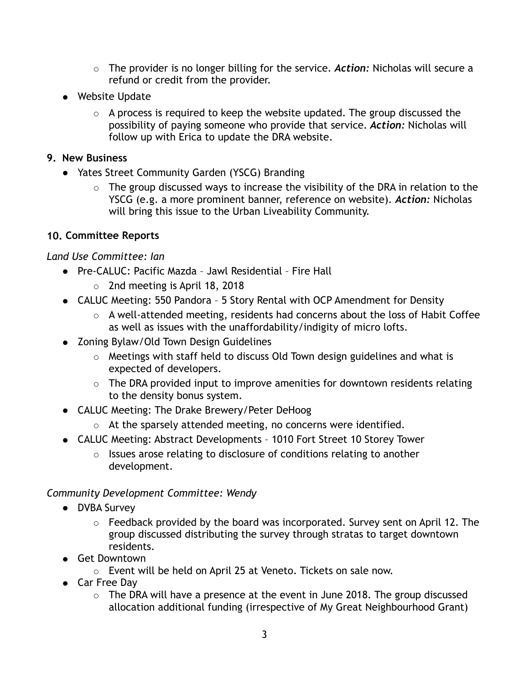- The provider is no longer billing for the service. *Action:* Nicholas will secure a refund or credit from the provider.
- Website Update
	- $\circ$  A process is required to keep the website updated. The group discussed the possibility of paying someone who provide that service. *Action:* Nicholas will follow up with Erica to update the DRA website.

## **9. New Business**

- Yates Street Community Garden (YSCG) Branding
	- $\circ$  The group discussed ways to increase the visibility of the DRA in relation to the YSCG (e.g. a more prominent banner, reference on website). *Action:* Nicholas will bring this issue to the Urban Liveability Community.

# **10. Committee Reports**

# *Land Use Committee: Ian*

- Pre-CALUC: Pacific Mazda Jawl Residential Fire Hall
	- 2nd meeting is April 18, 2018
- CALUC Meeting: 550 Pandora 5 Story Rental with OCP Amendment for Density
	- A well-attended meeting, residents had concerns about the loss of Habit Coffee as well as issues with the unaffordability/indigity of micro lofts.
- Zoning Bylaw/Old Town Design Guidelines
	- Meetings with staff held to discuss Old Town design guidelines and what is expected of developers.
	- The DRA provided input to improve amenities for downtown residents relating to the density bonus system.
- CALUC Meeting: The Drake Brewery/Peter DeHoog
	- At the sparsely attended meeting, no concerns were identified.
- CALUC Meeting: Abstract Developments 1010 Fort Street 10 Storey Tower
	- Issues arose relating to disclosure of conditions relating to another development.

# *Community Development Committee: Wendy*

- **DVBA Survey** 
	- $\circ$  Feedback provided by the board was incorporated. Survey sent on April 12. The group discussed distributing the survey through stratas to target downtown residents.
- Get Downtown
	- Event will be held on April 25 at Veneto. Tickets on sale now.
- Car Free Day
	- $\circ$  The DRA will have a presence at the event in June 2018. The group discussed allocation additional funding (irrespective of My Great Neighbourhood Grant)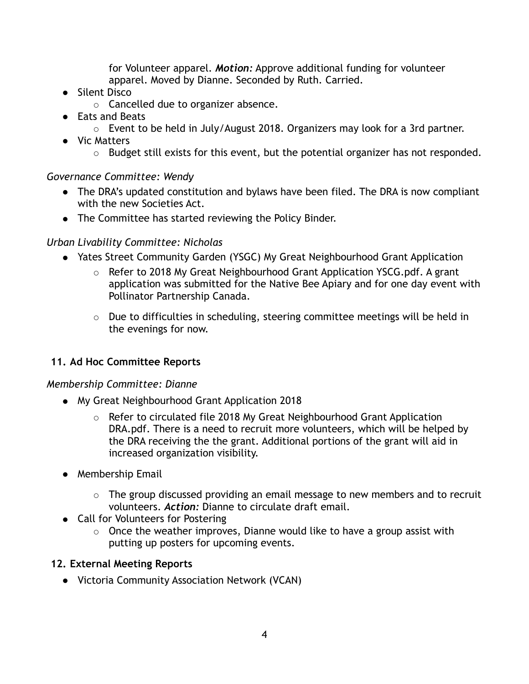for Volunteer apparel. *Motion:* Approve additional funding for volunteer apparel. Moved by Dianne. Seconded by Ruth. Carried.

- Silent Disco
	- Cancelled due to organizer absence.
- Eats and Beats
	- $\circ$  Event to be held in July/August 2018. Organizers may look for a 3rd partner.
- Vic Matters
	- Budget still exists for this event, but the potential organizer has not responded.

# *Governance Committee: Wendy*

- The DRA's updated constitution and bylaws have been filed. The DRA is now compliant with the new Societies Act.
- The Committee has started reviewing the Policy Binder.

# *Urban Livability Committee: Nicholas*

- Yates Street Community Garden (YSGC) My Great Neighbourhood Grant Application
	- Refer to 2018 My Great Neighbourhood Grant Application YSCG.pdf. A grant application was submitted for the Native Bee Apiary and for one day event with Pollinator Partnership Canada.
	- Due to difficulties in scheduling, steering committee meetings will be held in the evenings for now.

# **11. Ad Hoc Committee Reports**

# *Membership Committee: Dianne*

- My Great Neighbourhood Grant Application 2018
	- $\circ$  Refer to circulated file 2018 My Great Neighbourhood Grant Application DRA.pdf. There is a need to recruit more volunteers, which will be helped by the DRA receiving the the grant. Additional portions of the grant will aid in increased organization visibility.
- Membership Email
	- The group discussed providing an email message to new members and to recruit volunteers. *Action:* Dianne to circulate draft email.
- Call for Volunteers for Postering
	- Once the weather improves, Dianne would like to have a group assist with putting up posters for upcoming events.

# **12. External Meeting Reports**

● Victoria Community Association Network (VCAN)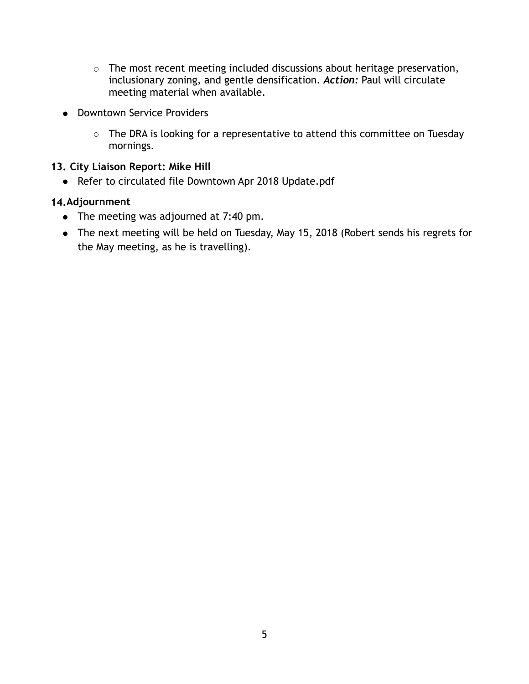- The most recent meeting included discussions about heritage preservation, inclusionary zoning, and gentle densification. *Action:* Paul will circulate meeting material when available.
- Downtown Service Providers
	- The DRA is looking for a representative to attend this committee on Tuesday mornings.

## **13. City Liaison Report: Mike Hill**

● Refer to circulated file Downtown Apr 2018 Update.pdf

## **14.Adjournment**

- The meeting was adjourned at 7:40 pm.
- The next meeting will be held on Tuesday, May 15, 2018 (Robert sends his regrets for the May meeting, as he is travelling).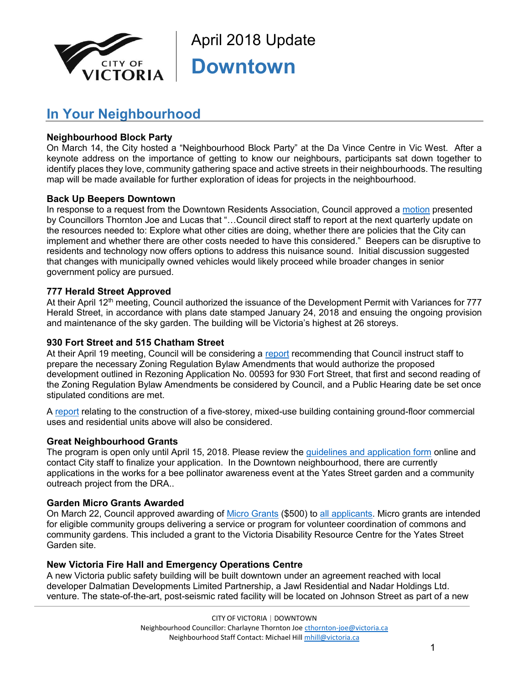

April 2018 Update **Downtown**

# **In Your Neighbourhood**

## **Neighbourhood Block Party**

On March 14, the City hosted a "Neighbourhood Block Party" at the Da Vince Centre in Vic West. After a keynote address on the importance of getting to know our neighbours, participants sat down together to identify places they love, community gathering space and active streets in their neighbourhoods. The resulting map will be made available for further exploration of ideas for projects in the neighbourhood.

## **Back Up Beepers Downtown**

In response to a request from the Downtown Residents Association, Council approved a [motion](javascript:SelectItem(18);) presented by Councillors Thornton Joe and Lucas that "…Council direct staff to report at the next quarterly update on the resources needed to: Explore what other cities are doing, whether there are policies that the City can implement and whether there are other costs needed to have this considered." Beepers can be disruptive to residents and technology now offers options to address this nuisance sound. Initial discussion suggested that changes with municipally owned vehicles would likely proceed while broader changes in senior government policy are pursued.

## **777 Herald Street Approved**

At their April 12th meeting, Council authorized the issuance of the Development Permit with Variances for 777 Herald Street, in accordance with plans date stamped January 24, 2018 and ensuing the ongoing provision and maintenance of the sky garden. The building will be Victoria's highest at 26 storeys.

### **930 Fort Street and 515 Chatham Street**

At their April 19 meeting, Council will be considering a [report](javascript:SelectItem(26);) recommending that Council instruct staff to prepare the necessary Zoning Regulation Bylaw Amendments that would authorize the proposed development outlined in Rezoning Application No. 00593 for 930 Fort Street, that first and second reading of the Zoning Regulation Bylaw Amendments be considered by Council, and a Public Hearing date be set once stipulated conditions are met.

A [report](javascript:SelectItem(16);) relating to the construction of a five-storey, mixed-use building containing ground-floor commercial uses and residential units above will also be considered.

#### **Great Neighbourhood Grants**

The program is open only until April 15, 2018. Please review the [guidelines and application form](http://www.victoria.ca/EN/main/residents/Neighbourhoods/my-great-neighbourhood-grant-program.html) online and contact City staff to finalize your application. In the Downtown neighbourhood, there are currently applications in the works for a bee pollinator awareness event at the Yates Street garden and a community outreach project from the DRA..

#### **Garden Micro Grants Awarded**

On March 22, Council approved awarding of [Micro Grants](https://victoria.civicweb.net/FileStorage/2FF564B1BD374AD28E24449C8C899D37-1_Report_2018%20Micro%20Grant%20Applications.pdf) (\$500) to [all applicants.](https://victoria.civicweb.net/FileStorage/4A6C5811C8594A449F2107A32D63494C-3_Appendix%20B_Eligible%20Micro%20Grant%20Applications.pdf) Micro grants are intended for eligible community groups delivering a service or program for volunteer coordination of commons and community gardens. This included a grant to the Victoria Disability Resource Centre for the Yates Street Garden site.

#### **New Victoria Fire Hall and Emergency Operations Centre**

A new Victoria public safety building will be built downtown under an agreement reached with local developer Dalmatian Developments Limited Partnership, a Jawl Residential and Nadar Holdings Ltd. venture. The state-of-the-art, post-seismic rated facility will be located on Johnson Street as part of a new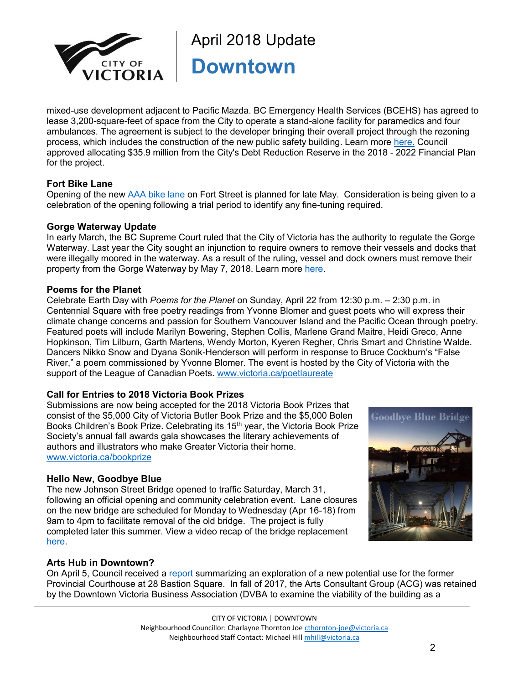

April 2018 Update **Downtown**

mixed-use development adjacent to Pacific Mazda. BC Emergency Health Services (BCEHS) has agreed to lease 3,200-square-feet of space from the City to operate a stand-alone facility for paramedics and four ambulances. The agreement is subject to the developer bringing their overall project through the rezoning process, which includes the construction of the new public safety building. Learn more [here.](http://www.victoria.ca/EN/meta/news/news-archives/2018-archive/new-downtown-location-planned-for-victoria-fire-hall-and-emergency-operations-centre.html) Council approved allocating \$35.9 million from the City's Debt Reduction Reserve in the 2018 - 2022 Financial Plan for the project.

#### **Fort Bike Lane**

Opening of the new [AAA bike lane](http://www.victoria.ca/EN/main/residents/transportation/cycling/new-cycling-projects/protected-bike-lanes.html) on Fort Street is planned for late May. Consideration is being given to a celebration of the opening following a trial period to identify any fine-tuning required.

#### **Gorge Waterway Update**

In early March, the BC Supreme Court ruled that the City of Victoria has the authority to regulate the Gorge Waterway. Last year the City sought an injunction to require owners to remove their vessels and docks that were illegally moored in the waterway. As a result of the ruling, vessel and dock owners must remove their property from the Gorge Waterway by May 7, 2018. Learn more [here.](http://www.victoria.ca/EN/meta/news/news-archives/2018-archive/bc-supreme-court-ruling-confirms-city-has-authority-to-regulate-the-gorge-waterway.html)

#### **Poems for the Planet**

Celebrate Earth Day with *Poems for the Planet* on Sunday, April 22 from 12:30 p.m. – 2:30 p.m. in Centennial Square with free poetry readings from Yvonne Blomer and guest poets who will express their climate change concerns and passion for Southern Vancouver Island and the Pacific Ocean through poetry. Featured poets will include Marilyn Bowering, Stephen Collis, Marlene Grand Maitre, Heidi Greco, Anne Hopkinson, Tim Lilburn, Garth Martens, Wendy Morton, Kyeren Regher, Chris Smart and Christine Walde. Dancers Nikko Snow and Dyana Sonik-Henderson will perform in response to Bruce Cockburn's "False River," a poem commissioned by Yvonne Blomer. The event is hosted by the City of Victoria with the support of the League of Canadian Poets. [www.victoria.ca/poetlaureate](http://www.victoria.ca/poetlaureate)

## **Call for Entries to 2018 Victoria Book Prizes**

Submissions are now being accepted for the 2018 Victoria Book Prizes that consist of the \$5,000 City of Victoria Butler Book Prize and the \$5,000 Bolen Books Children's Book Prize. Celebrating its 15<sup>th</sup> year, the Victoria Book Prize Society's annual fall awards gala showcases the literary achievements of authors and illustrators who make Greater Victoria their home. [www.victoria.ca/bookprize](http://www.victoria.ca/bookprize)

#### **Hello New, Goodbye Blue**

The new Johnson Street Bridge opened to traffic Saturday, March 31, following an official opening and community celebration event. Lane closures on the new bridge are scheduled for Monday to Wednesday (Apr 16-18) from 9am to 4pm to facilitate removal of the old bridge. The project is fully completed later this summer. View a video recap of the bridge replacement [here.](https://www.youtube.com/watch?v=LDjqmhy2RM0&feature=youtu.be)



## **Arts Hub in Downtown?**

On April 5, Council received a [report](https://pub-victoria.escribemeetings.com/filestream.ashx?DocumentId=1173) summarizing an exploration of a new potential use for the former Provincial Courthouse at 28 Bastion Square. In fall of 2017, the Arts Consultant Group (ACG) was retained by the Downtown Victoria Business Association (DVBA to examine the viability of the building as a